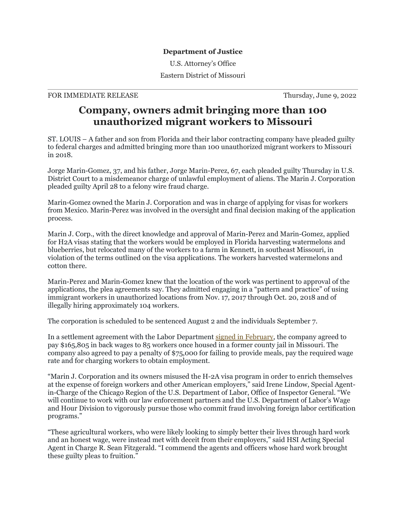## **Department of Justice**

U.S. Attorney's Office

Eastern District of Missouri

## FOR IMMEDIATE RELEASE Thursday, June 9, 2022

## **Company, owners admit bringing more than 100 unauthorized migrant workers to Missouri**

ST. LOUIS – A father and son from Florida and their labor contracting company have pleaded guilty to federal charges and admitted bringing more than 100 unauthorized migrant workers to Missouri in 2018.

Jorge Marin-Gomez, 37, and his father, Jorge Marin-Perez, 67, each pleaded guilty Thursday in U.S. District Court to a misdemeanor charge of unlawful employment of aliens. The Marin J. Corporation pleaded guilty April 28 to a felony wire fraud charge.

Marin-Gomez owned the Marin J. Corporation and was in charge of applying for visas for workers from Mexico. Marin-Perez was involved in the oversight and final decision making of the application process.

Marin J. Corp., with the direct knowledge and approval of Marin-Perez and Marin-Gomez, applied for H2A visas stating that the workers would be employed in Florida harvesting watermelons and blueberries, but relocated many of the workers to a farm in Kennett, in southeast Missouri, in violation of the terms outlined on the visa applications. The workers harvested watermelons and cotton there.

Marin-Perez and Marin-Gomez knew that the location of the work was pertinent to approval of the applications, the plea agreements say. They admitted engaging in a "pattern and practice" of using immigrant workers in unauthorized locations from Nov. 17, 2017 through Oct. 20, 2018 and of illegally hiring approximately 104 workers.

The corporation is scheduled to be sentenced August 2 and the individuals September 7.

In a settlement agreement with the Labor Department [signed in February,](https://www.dol.gov/newsroom/releases/whd/whd20220304-0) the company agreed to pay \$165,805 in back wages to 85 workers once housed in a former county jail in Missouri. The company also agreed to pay a penalty of \$75,000 for failing to provide meals, pay the required wage rate and for charging workers to obtain employment.

"Marin J. Corporation and its owners misused the H-2A visa program in order to enrich themselves at the expense of foreign workers and other American employers," said Irene Lindow, Special Agentin-Charge of the Chicago Region of the U.S. Department of Labor, Office of Inspector General. "We will continue to work with our law enforcement partners and the U.S. Department of Labor's Wage and Hour Division to vigorously pursue those who commit fraud involving foreign labor certification programs."

"These agricultural workers, who were likely looking to simply better their lives through hard work and an honest wage, were instead met with deceit from their employers," said HSI Acting Special Agent in Charge R. Sean Fitzgerald. "I commend the agents and officers whose hard work brought these guilty pleas to fruition."